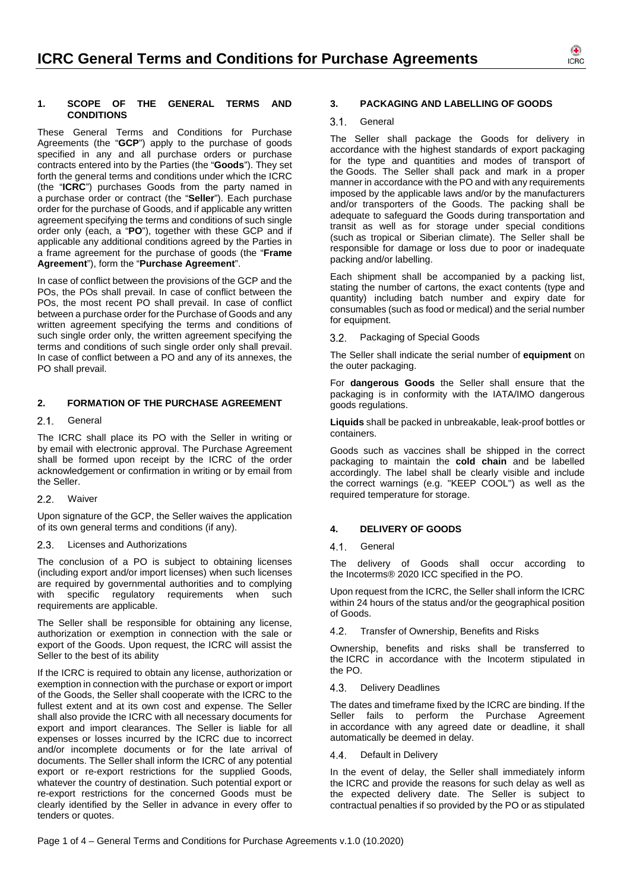

#### **1. SCOPE OF THE GENERAL TERMS AND CONDITIONS**

These General Terms and Conditions for Purchase Agreements (the "**GCP**") apply to the purchase of goods specified in any and all purchase orders or purchase contracts entered into by the Parties (the "**Goods**"). They set forth the general terms and conditions under which the ICRC (the "**ICRC**") purchases Goods from the party named in a purchase order or contract (the "**Seller**"). Each purchase order for the purchase of Goods, and if applicable any written agreement specifying the terms and conditions of such single order only (each, a "**PO**"), together with these GCP and if applicable any additional conditions agreed by the Parties in a frame agreement for the purchase of goods (the "**Frame Agreement**"), form the "**Purchase Agreement**".

In case of conflict between the provisions of the GCP and the POs, the POs shall prevail. In case of conflict between the POs, the most recent PO shall prevail. In case of conflict between a purchase order for the Purchase of Goods and any written agreement specifying the terms and conditions of such single order only, the written agreement specifying the terms and conditions of such single order only shall prevail. In case of conflict between a PO and any of its annexes, the PO shall prevail.

### **2. FORMATION OF THE PURCHASE AGREEMENT**

### 2.1. General

The ICRC shall place its PO with the Seller in writing or by email with electronic approval. The Purchase Agreement shall be formed upon receipt by the ICRC of the order acknowledgement or confirmation in writing or by email from the Seller.

#### 2.2 Waiver

Upon signature of the GCP, the Seller waives the application of its own general terms and conditions (if any).

### 2.3. Licenses and Authorizations

The conclusion of a PO is subject to obtaining licenses (including export and/or import licenses) when such licenses are required by governmental authorities and to complying with specific regulatory requirements when such requirements are applicable.

The Seller shall be responsible for obtaining any license, authorization or exemption in connection with the sale or export of the Goods. Upon request, the ICRC will assist the Seller to the best of its ability

If the ICRC is required to obtain any license, authorization or exemption in connection with the purchase or export or import of the Goods, the Seller shall cooperate with the ICRC to the fullest extent and at its own cost and expense. The Seller shall also provide the ICRC with all necessary documents for export and import clearances. The Seller is liable for all expenses or losses incurred by the ICRC due to incorrect and/or incomplete documents or for the late arrival of documents. The Seller shall inform the ICRC of any potential export or re-export restrictions for the supplied Goods, whatever the country of destination. Such potential export or re-export restrictions for the concerned Goods must be clearly identified by the Seller in advance in every offer to tenders or quotes.

#### **3. PACKAGING AND LABELLING OF GOODS**

#### 3.1. General

The Seller shall package the Goods for delivery in accordance with the highest standards of export packaging for the type and quantities and modes of transport of the Goods. The Seller shall pack and mark in a proper manner in accordance with the PO and with any requirements imposed by the applicable laws and/or by the manufacturers and/or transporters of the Goods. The packing shall be adequate to safeguard the Goods during transportation and transit as well as for storage under special conditions (such as tropical or Siberian climate). The Seller shall be responsible for damage or loss due to poor or inadequate packing and/or labelling.

Each shipment shall be accompanied by a packing list, stating the number of cartons, the exact contents (type and quantity) including batch number and expiry date for consumables (such as food or medical) and the serial number for equipment.

3.2. Packaging of Special Goods

The Seller shall indicate the serial number of **equipment** on the outer packaging.

For **dangerous Goods** the Seller shall ensure that the packaging is in conformity with the IATA/IMO dangerous goods regulations.

**Liquids** shall be packed in unbreakable, leak-proof bottles or containers.

Goods such as vaccines shall be shipped in the correct packaging to maintain the **cold chain** and be labelled accordingly. The label shall be clearly visible and include the correct warnings (e.g. "KEEP COOL") as well as the required temperature for storage.

### **4. DELIVERY OF GOODS**

### 4.1. General

The delivery of Goods shall occur according to the Incoterms® 2020 ICC specified in the PO.

Upon request from the ICRC, the Seller shall inform the ICRC within 24 hours of the status and/or the geographical position of Goods.

4.2. Transfer of Ownership, Benefits and Risks

Ownership, benefits and risks shall be transferred to the ICRC in accordance with the Incoterm stipulated in the PO.

#### 4.3. Delivery Deadlines

The dates and timeframe fixed by the ICRC are binding. If the Seller fails to perform the Purchase Agreement in accordance with any agreed date or deadline, it shall automatically be deemed in delay.

### 4.4. Default in Delivery

In the event of delay, the Seller shall immediately inform the ICRC and provide the reasons for such delay as well as the expected delivery date. The Seller is subject to contractual penalties if so provided by the PO or as stipulated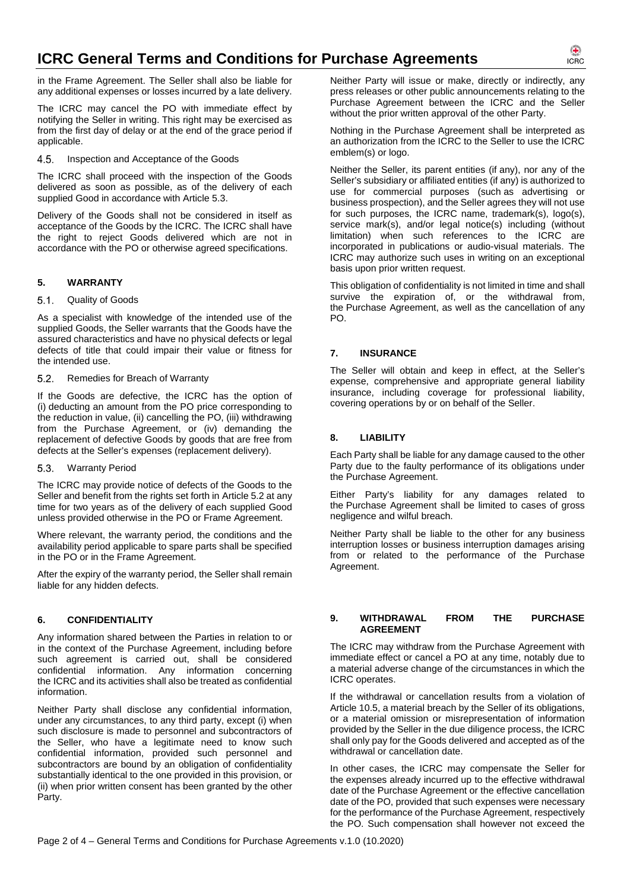in the Frame Agreement. The Seller shall also be liable for any additional expenses or losses incurred by a late delivery.

The ICRC may cancel the PO with immediate effect by notifying the Seller in writing. This right may be exercised as from the first day of delay or at the end of the grace period if applicable.

4.5. Inspection and Acceptance of the Goods

The ICRC shall proceed with the inspection of the Goods delivered as soon as possible, as of the delivery of each supplied Good in accordance with Article 5.3.

Delivery of the Goods shall not be considered in itself as acceptance of the Goods by the ICRC. The ICRC shall have the right to reject Goods delivered which are not in accordance with the PO or otherwise agreed specifications.

# **5. WARRANTY**

## 5.1. Quality of Goods

As a specialist with knowledge of the intended use of the supplied Goods, the Seller warrants that the Goods have the assured characteristics and have no physical defects or legal defects of title that could impair their value or fitness for the intended use.

### 5.2. Remedies for Breach of Warranty

If the Goods are defective, the ICRC has the option of (i) deducting an amount from the PO price corresponding to the reduction in value, (ii) cancelling the PO, (iii) withdrawing from the Purchase Agreement, or (iv) demanding the replacement of defective Goods by goods that are free from defects at the Seller's expenses (replacement delivery).

### Warranty Period

The ICRC may provide notice of defects of the Goods to the Seller and benefit from the rights set forth in Article 5.2 at any time for two years as of the delivery of each supplied Good unless provided otherwise in the PO or Frame Agreement.

Where relevant, the warranty period, the conditions and the availability period applicable to spare parts shall be specified in the PO or in the Frame Agreement.

After the expiry of the warranty period, the Seller shall remain liable for any hidden defects.

## **6. CONFIDENTIALITY**

Any information shared between the Parties in relation to or in the context of the Purchase Agreement, including before such agreement is carried out, shall be considered confidential information. Any information concerning the ICRC and its activities shall also be treated as confidential information.

Neither Party shall disclose any confidential information, under any circumstances, to any third party, except (i) when such disclosure is made to personnel and subcontractors of the Seller, who have a legitimate need to know such confidential information, provided such personnel and subcontractors are bound by an obligation of confidentiality substantially identical to the one provided in this provision, or (ii) when prior written consent has been granted by the other Party.

Neither Party will issue or make, directly or indirectly, any press releases or other public announcements relating to the Purchase Agreement between the ICRC and the Seller without the prior written approval of the other Party.

Nothing in the Purchase Agreement shall be interpreted as an authorization from the ICRC to the Seller to use the ICRC emblem(s) or logo.

Neither the Seller, its parent entities (if any), nor any of the Seller's subsidiary or affiliated entities (if any) is authorized to use for commercial purposes (such as advertising or business prospection), and the Seller agrees they will not use for such purposes, the ICRC name, trademark(s), logo(s), service mark(s), and/or legal notice(s) including (without limitation) when such references to the ICRC are incorporated in publications or audio-visual materials. The ICRC may authorize such uses in writing on an exceptional basis upon prior written request.

This obligation of confidentiality is not limited in time and shall survive the expiration of, or the withdrawal from, the Purchase Agreement, as well as the cancellation of any PO.

# **7. INSURANCE**

The Seller will obtain and keep in effect, at the Seller's expense, comprehensive and appropriate general liability insurance, including coverage for professional liability, covering operations by or on behalf of the Seller.

## **8. LIABILITY**

Each Party shall be liable for any damage caused to the other Party due to the faulty performance of its obligations under the Purchase Agreement.

Either Party's liability for any damages related to the Purchase Agreement shall be limited to cases of gross negligence and wilful breach.

Neither Party shall be liable to the other for any business interruption losses or business interruption damages arising from or related to the performance of the Purchase Agreement.

### **9. WITHDRAWAL FROM THE PURCHASE AGREEMENT**

The ICRC may withdraw from the Purchase Agreement with immediate effect or cancel a PO at any time, notably due to a material adverse change of the circumstances in which the ICRC operates.

If the withdrawal or cancellation results from a violation of Article 10.5, a material breach by the Seller of its obligations, or a material omission or misrepresentation of information provided by the Seller in the due diligence process, the ICRC shall only pay for the Goods delivered and accepted as of the withdrawal or cancellation date.

In other cases, the ICRC may compensate the Seller for the expenses already incurred up to the effective withdrawal date of the Purchase Agreement or the effective cancellation date of the PO, provided that such expenses were necessary for the performance of the Purchase Agreement, respectively the PO. Such compensation shall however not exceed the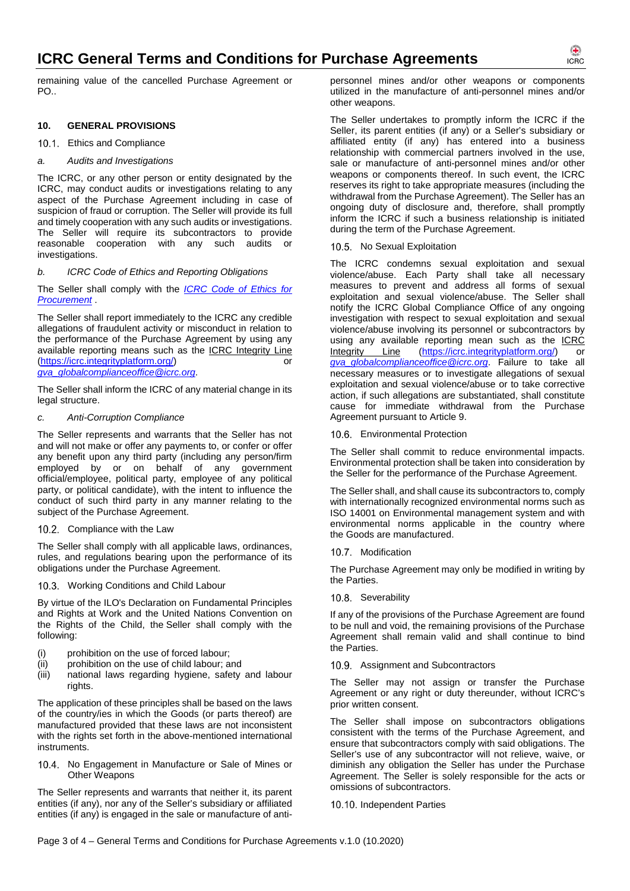remaining value of the cancelled Purchase Agreement or PO..

# **10. GENERAL PROVISIONS**

# 10.1. Ethics and Compliance

### *a. Audits and Investigations*

The ICRC, or any other person or entity designated by the ICRC, may conduct audits or investigations relating to any aspect of the Purchase Agreement including in case of suspicion of fraud or corruption. The Seller will provide its full and timely cooperation with any such audits or investigations. The Seller will require its subcontractors to provide reasonable cooperation with any such audits or investigations.

### *b. ICRC Code of Ethics and Reporting Obligations*

The Seller shall comply with the *ICRC Code of Ethics for Procurement* .

The Seller shall report immediately to the ICRC any credible allegations of fraudulent activity or misconduct in relation to the performance of the Purchase Agreement by using any available reporting means such as the ICRC Integrity Line (https://icrc.integrityplatform.org/) or *gva\_globalcomplianceoffice@icrc.org*.

The Seller shall inform the ICRC of any material change in its legal structure.

### *c. Anti-Corruption Compliance*

The Seller represents and warrants that the Seller has not and will not make or offer any payments to, or confer or offer any benefit upon any third party (including any person/firm employed by or on behalf of any government official/employee, political party, employee of any political party, or political candidate), with the intent to influence the conduct of such third party in any manner relating to the subject of the Purchase Agreement.

### 10.2. Compliance with the Law

The Seller shall comply with all applicable laws, ordinances, rules, and regulations bearing upon the performance of its obligations under the Purchase Agreement.

### 10.3. Working Conditions and Child Labour

By virtue of the ILO's Declaration on Fundamental Principles and Rights at Work and the United Nations Convention on the Rights of the Child, the Seller shall comply with the following:

- (i) prohibition on the use of forced labour;
- (ii) prohibition on the use of child labour; and
- (iii) national laws regarding hygiene, safety and labour rights.

The application of these principles shall be based on the laws of the country/ies in which the Goods (or parts thereof) are manufactured provided that these laws are not inconsistent with the rights set forth in the above-mentioned international instruments.

10.4. No Engagement in Manufacture or Sale of Mines or Other Weapons

The Seller represents and warrants that neither it, its parent entities (if any), nor any of the Seller's subsidiary or affiliated entities (if any) is engaged in the sale or manufacture of antipersonnel mines and/or other weapons or components utilized in the manufacture of anti-personnel mines and/or other weapons.

The Seller undertakes to promptly inform the ICRC if the Seller, its parent entities (if any) or a Seller's subsidiary or affiliated entity (if any) has entered into a business relationship with commercial partners involved in the use, sale or manufacture of anti-personnel mines and/or other weapons or components thereof. In such event, the ICRC reserves its right to take appropriate measures (including the withdrawal from the Purchase Agreement). The Seller has an ongoing duty of disclosure and, therefore, shall promptly inform the ICRC if such a business relationship is initiated during the term of the Purchase Agreement.

### 10.5. No Sexual Exploitation

The ICRC condemns sexual exploitation and sexual violence/abuse. Each Party shall take all necessary measures to prevent and address all forms of sexual exploitation and sexual violence/abuse. The Seller shall notify the ICRC Global Compliance Office of any ongoing investigation with respect to sexual exploitation and sexual violence/abuse involving its personnel or subcontractors by using any available reporting mean such as the <u>ICRC</u><br>Integrity Line (https://icrc.integrityplatform.org/) or (https://icrc.integrityplatform.org/) or *gva\_globalcomplianceoffice@icrc.org*. Failure to take all necessary measures or to investigate allegations of sexual exploitation and sexual violence/abuse or to take corrective action, if such allegations are substantiated, shall constitute cause for immediate withdrawal from the Purchase Agreement pursuant to Article 9.

10.6. Environmental Protection

The Seller shall commit to reduce environmental impacts. Environmental protection shall be taken into consideration by the Seller for the performance of the Purchase Agreement.

The Seller shall, and shall cause its subcontractors to, comply with internationally recognized environmental norms such as ISO 14001 on Environmental management system and with environmental norms applicable in the country where the Goods are manufactured.

10.7. Modification

The Purchase Agreement may only be modified in writing by the Parties.

10.8. Severability

If any of the provisions of the Purchase Agreement are found to be null and void, the remaining provisions of the Purchase Agreement shall remain valid and shall continue to bind the Parties.

10.9. Assignment and Subcontractors

The Seller may not assign or transfer the Purchase Agreement or any right or duty thereunder, without ICRC's prior written consent.

The Seller shall impose on subcontractors obligations consistent with the terms of the Purchase Agreement, and ensure that subcontractors comply with said obligations. The Seller's use of any subcontractor will not relieve, waive, or diminish any obligation the Seller has under the Purchase Agreement. The Seller is solely responsible for the acts or omissions of subcontractors.

10.10. Independent Parties